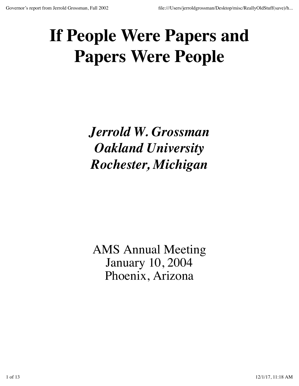# **If People Were Papers and Papers Were People**

*Jerrold W. Grossman Oakland University Rochester, Michigan*

AMS Annual Meeting January 10, 2004 Phoenix, Arizona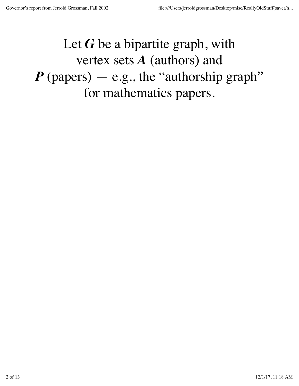## Let G be a bipartite graph, with vertex sets *A* (authors) and  $P$  (papers)  $-$  e.g., the "authorship graph" for mathematics papers.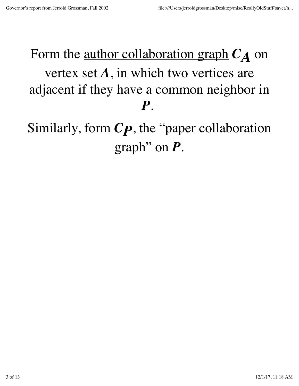# Form the <u>author collaboration graph</u>  $C_A$  on vertex set *A*, in which two vertices are adjacent if they have a common neighbor in *P*.

Similarly, form *CP*, the "paper collaboration graph" on *P*.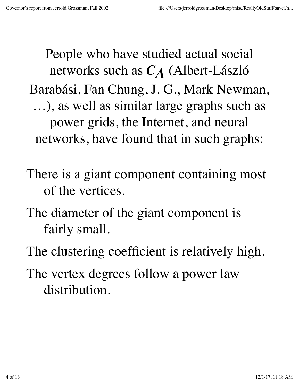People who have studied actual social networks such as *CA* (Albert-László Barabási, Fan Chung, J. G., Mark Newman, …), as well as similar large graphs such as power grids, the Internet, and neural networks, have found that in such graphs:

There is a giant component containing most of the vertices.

The diameter of the giant component is fairly small.

The clustering coefficient is relatively high.

The vertex degrees follow a power law distribution.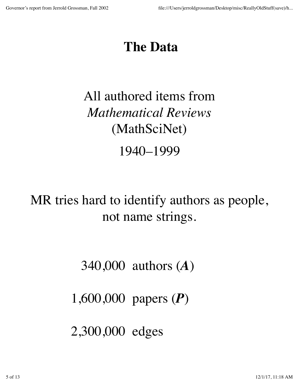### **The Data**

# All authored items from *Mathematical Reviews* (MathSciNet) 1940–1999

MR tries hard to identify authors as people, not name strings.

340,000 authors (*A*)

1,600,000 papers (*P*)

2,300,000 edges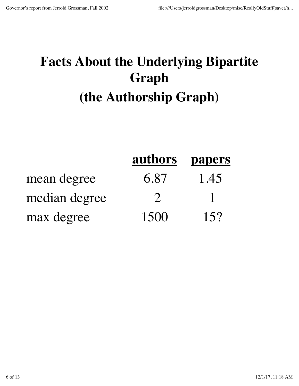# **Facts About the Underlying Bipartite Graph (the Authorship Graph)**

|               | authors                     | <b>papers</b> |
|---------------|-----------------------------|---------------|
| mean degree   | 6.87                        | 1.45          |
| median degree | $\mathcal{D}_{\mathcal{A}}$ | $\mathbf{1}$  |
| max degree    | 1500                        | 15?           |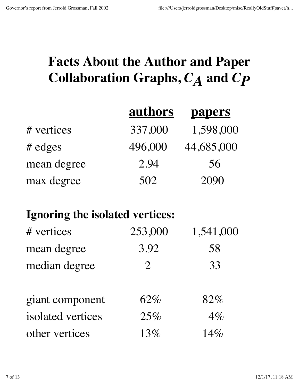### **Facts About the Author and Paper Collaboration Graphs,** *CA* **and** *CP*

|             | <u>authors</u> | <b>papers</b> |
|-------------|----------------|---------------|
| # vertices  | 337,000        | 1,598,000     |
| $#$ edges   | 496,000        | 44,685,000    |
| mean degree | 2.94           | 56            |
| max degree  | 502            | 2090          |

#### **Ignoring the isolated vertices:**

| # vertices        | 253,000        | 1,541,000 |
|-------------------|----------------|-----------|
| mean degree       | 3.92           | 58        |
| median degree     | $\overline{2}$ | 33        |
| giant component   | $62\%$         | 82%       |
| isolated vertices | 25%            | $4\%$     |
| other vertices    | 13%            | 14%       |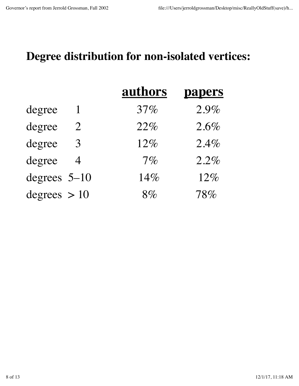#### **Degree distribution for non-isolated vertices:**

|                          | authors | <b>papers</b> |
|--------------------------|---------|---------------|
| degree<br>$\mathbf{1}$   | 37%     | 2.9%          |
| degree<br>$\overline{2}$ | 22%     | 2.6%          |
| degree<br>3              | 12%     | 2.4%          |
| degree<br>$\overline{4}$ | $7\%$   | 2.2%          |
| degrees $5-10$           | 14%     | 12%           |
| degrees $> 10$           | $8\%$   | 78%           |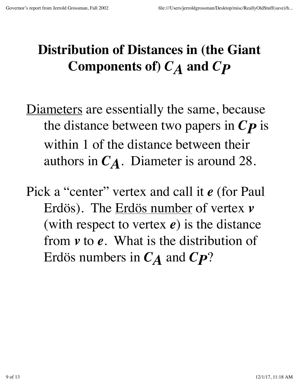## **Distribution of Distances in (the Giant Components of)** *CA* **and** *CP*

- Diameters are essentially the same, because the distance between two papers in *CP* is within 1 of the distance between their authors in *CA*. Diameter is around 28.
- Pick a "center" vertex and call it *e* (for Paul Erdös). The Erdös number of vertex *v* (with respect to vertex *e*) is the distance from *v* to *e*. What is the distribution of Erdös numbers in *CA* and *CP*?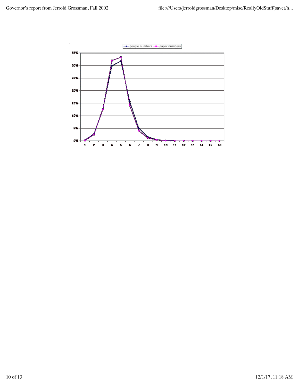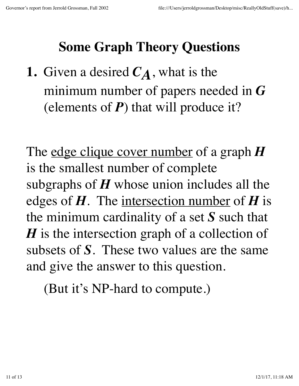## **Some Graph Theory Questions**

**1.** Given a desired  $C_A$ , what is the minimum number of papers needed in *G* (elements of *P*) that will produce it?

The edge clique cover number of a graph *H* is the smallest number of complete subgraphs of *H* whose union includes all the edges of *H*. The intersection number of *H* is the minimum cardinality of a set *S* such that *H* is the intersection graph of a collection of subsets of *S*. These two values are the same and give the answer to this question.

(But it's NP-hard to compute.)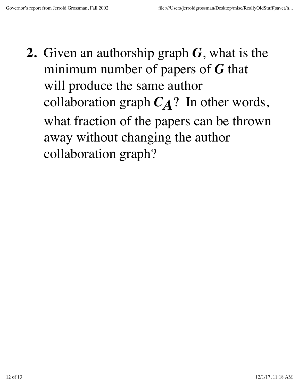**2.** Given an authorship graph *G*, what is the minimum number of papers of *G* that will produce the same author collaboration graph  $C_A$ ? In other words, what fraction of the papers can be thrown away without changing the author collaboration graph?